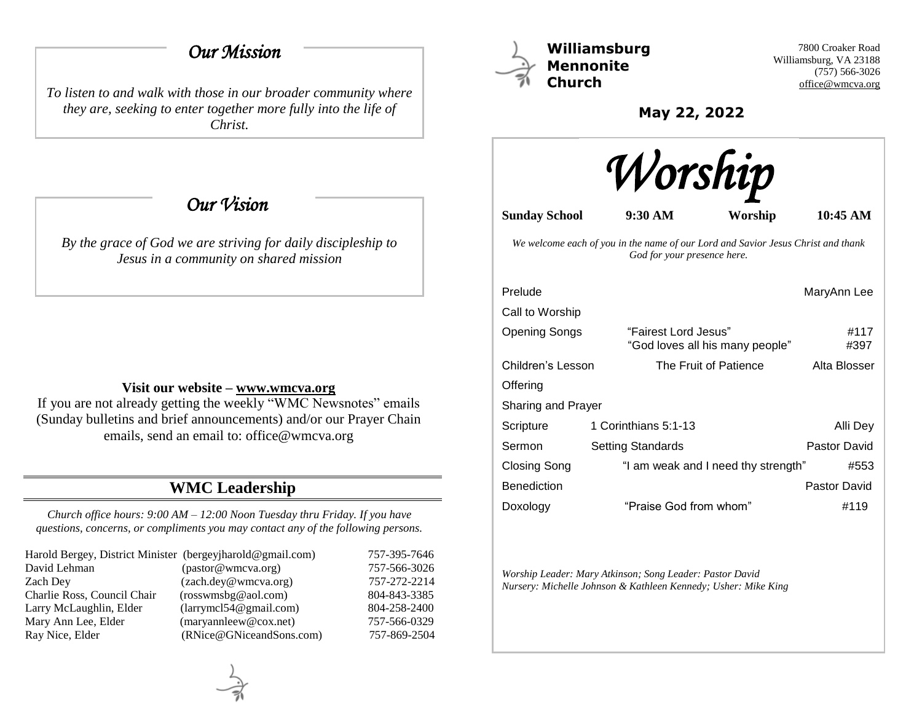## *Our Mission*

*To listen to and walk with those in our broader community where they are, seeking to enter together more fully into the life of Christ.*

 *Our Vision* 

*By the grace of God we are striving for daily discipleship to Jesus in a community on shared mission*

### **Visit our website – [www.wmcva.org](http://www.wmcva.org/)**

If you are not already getting the weekly "WMC Newsnotes" emails (Sunday bulletins and brief announcements) and/or our Prayer Chain emails, send an email to: office@wmcva.org

# **WMC Leadership**

*Church office hours: 9:00 AM – 12:00 Noon Tuesday thru Friday. If you have questions, concerns, or compliments you may contact any of the following persons.*

| Harold Bergey, District Minister (bergeyjharold@gmail.com) |                                | 757-395-7646 |
|------------------------------------------------------------|--------------------------------|--------------|
| David Lehman                                               | (pastor@wmcva.org)             | 757-566-3026 |
| Zach Dev                                                   | (zach.dey@wmcva.org)           | 757-272-2214 |
| Charlie Ross, Council Chair                                | (rosswmsbg@aol.com)            | 804-843-3385 |
| Larry McLaughlin, Elder                                    | (larymel 54@gmail.com)         | 804-258-2400 |
| Mary Ann Lee, Elder                                        | $(\text{maryannleew@cox.net})$ | 757-566-0329 |
| Ray Nice, Elder                                            | (RNice@GNiceandSons.com)       | 757-869-2504 |



**Williamsburg Mennonite Church**

7800 Croaker Road Williamsburg, VA 23188 (757) 566-3026 [office@wmcva.org](mailto:office@wmcva.org)

**May 22, 2022**



**Sunday School 9:30 AM Worship 10:45 AM**

*We welcome each of you in the name of our Lord and Savior Jesus Christ and thank God for your presence here.*

| Prelude                   |                                                         | MaryAnn Lee  |  |  |
|---------------------------|---------------------------------------------------------|--------------|--|--|
| Call to Worship           |                                                         |              |  |  |
| <b>Opening Songs</b>      | "Fairest Lord Jesus"<br>"God loves all his many people" | #117<br>#397 |  |  |
| Children's Lesson         | The Fruit of Patience                                   | Alta Blosser |  |  |
| Offering                  |                                                         |              |  |  |
| <b>Sharing and Prayer</b> |                                                         |              |  |  |
| Scripture                 | 1 Corinthians 5:1-13                                    | Alli Dev     |  |  |
| Sermon                    | Setting Standards                                       | Pastor David |  |  |
| Closing Song              | "I am weak and I need thy strength"                     | #553         |  |  |
| <b>Benediction</b>        |                                                         | Pastor David |  |  |
| Doxology                  | "Praise God from whom"                                  | #119         |  |  |

*Worship Leader: Mary Atkinson; Song Leader: Pastor David Nursery: Michelle Johnson & Kathleen Kennedy; Usher: Mike King*